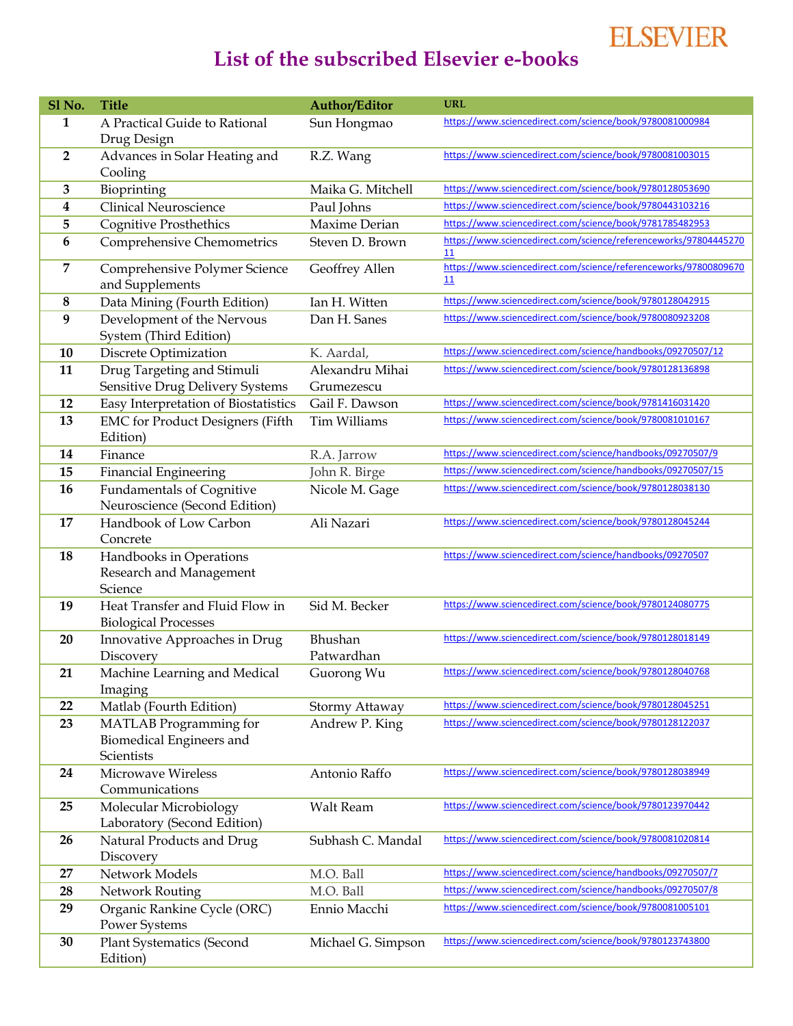## **ELSEVIER**

## **List of the subscribed Elsevier e-books**

| Sl <sub>No.</sub> | <b>Title</b>                                                      | <b>Author/Editor</b> | <b>URL</b>                                                                                                              |
|-------------------|-------------------------------------------------------------------|----------------------|-------------------------------------------------------------------------------------------------------------------------|
| 1                 | A Practical Guide to Rational                                     | Sun Hongmao          | https://www.sciencedirect.com/science/book/9780081000984                                                                |
|                   | Drug Design                                                       |                      |                                                                                                                         |
| $\overline{2}$    | Advances in Solar Heating and                                     | R.Z. Wang            | https://www.sciencedirect.com/science/book/9780081003015                                                                |
|                   | Cooling                                                           |                      |                                                                                                                         |
| 3                 | Bioprinting                                                       | Maika G. Mitchell    | https://www.sciencedirect.com/science/book/9780128053690                                                                |
| 4                 | <b>Clinical Neuroscience</b>                                      | Paul Johns           | https://www.sciencedirect.com/science/book/9780443103216<br>https://www.sciencedirect.com/science/book/9781785482953    |
| 5                 | <b>Cognitive Prosthethics</b>                                     | Maxime Derian        | https://www.sciencedirect.com/science/referenceworks/97804445270                                                        |
| 6                 | Comprehensive Chemometrics                                        | Steven D. Brown      | 11                                                                                                                      |
| 7                 | Comprehensive Polymer Science                                     | Geoffrey Allen       | https://www.sciencedirect.com/science/referenceworks/97800809670                                                        |
|                   | and Supplements                                                   |                      | 11                                                                                                                      |
| 8                 | Data Mining (Fourth Edition)                                      | Ian H. Witten        | https://www.sciencedirect.com/science/book/9780128042915                                                                |
| 9                 | Development of the Nervous<br>System (Third Edition)              | Dan H. Sanes         | https://www.sciencedirect.com/science/book/9780080923208                                                                |
| 10                | Discrete Optimization                                             | K. Aardal,           | https://www.sciencedirect.com/science/handbooks/09270507/12                                                             |
| 11                | Drug Targeting and Stimuli                                        | Alexandru Mihai      | https://www.sciencedirect.com/science/book/9780128136898                                                                |
|                   | Sensitive Drug Delivery Systems                                   | Grumezescu           |                                                                                                                         |
| 12                | Easy Interpretation of Biostatistics                              | Gail F. Dawson       | https://www.sciencedirect.com/science/book/9781416031420                                                                |
| 13                | <b>EMC</b> for Product Designers (Fifth                           | <b>Tim Williams</b>  | https://www.sciencedirect.com/science/book/9780081010167                                                                |
|                   | Edition)                                                          |                      |                                                                                                                         |
| 14                | Finance                                                           | R.A. Jarrow          | https://www.sciencedirect.com/science/handbooks/09270507/9                                                              |
| 15                | <b>Financial Engineering</b>                                      | John R. Birge        | https://www.sciencedirect.com/science/handbooks/09270507/15<br>https://www.sciencedirect.com/science/book/9780128038130 |
| 16                | <b>Fundamentals of Cognitive</b><br>Neuroscience (Second Edition) | Nicole M. Gage       |                                                                                                                         |
| 17                | Handbook of Low Carbon                                            | Ali Nazari           | https://www.sciencedirect.com/science/book/9780128045244                                                                |
|                   | Concrete                                                          |                      |                                                                                                                         |
| 18                | Handbooks in Operations                                           |                      | https://www.sciencedirect.com/science/handbooks/09270507                                                                |
|                   | Research and Management                                           |                      |                                                                                                                         |
|                   | Science                                                           |                      |                                                                                                                         |
| 19                | Heat Transfer and Fluid Flow in                                   | Sid M. Becker        | https://www.sciencedirect.com/science/book/9780124080775                                                                |
|                   | <b>Biological Processes</b>                                       |                      |                                                                                                                         |
| 20                | Innovative Approaches in Drug                                     | Bhushan              | https://www.sciencedirect.com/science/book/9780128018149                                                                |
|                   | Discovery                                                         | Patwardhan           | https://www.sciencedirect.com/science/book/9780128040768                                                                |
| 21                | Machine Learning and Medical                                      | Guorong Wu           |                                                                                                                         |
| 22                | Imaging<br>Matlab (Fourth Edition)                                | Stormy Attaway       | https://www.sciencedirect.com/science/book/9780128045251                                                                |
| 23                | <b>MATLAB</b> Programming for                                     | Andrew P. King       | https://www.sciencedirect.com/science/book/9780128122037                                                                |
|                   | Biomedical Engineers and                                          |                      |                                                                                                                         |
|                   | Scientists                                                        |                      |                                                                                                                         |
| 24                | Microwave Wireless                                                | Antonio Raffo        | https://www.sciencedirect.com/science/book/9780128038949                                                                |
|                   | Communications                                                    |                      |                                                                                                                         |
| 25                | Molecular Microbiology                                            | Walt Ream            | https://www.sciencedirect.com/science/book/9780123970442                                                                |
|                   | Laboratory (Second Edition)                                       |                      |                                                                                                                         |
| 26                | Natural Products and Drug                                         | Subhash C. Mandal    | https://www.sciencedirect.com/science/book/9780081020814                                                                |
|                   | Discovery                                                         |                      |                                                                                                                         |
| 27                | Network Models                                                    | M.O. Ball            | https://www.sciencedirect.com/science/handbooks/09270507/7                                                              |
| 28                | Network Routing                                                   | M.O. Ball            | https://www.sciencedirect.com/science/handbooks/09270507/8                                                              |
| 29                | Organic Rankine Cycle (ORC)<br><b>Power Systems</b>               | Ennio Macchi         | https://www.sciencedirect.com/science/book/9780081005101                                                                |
| 30                | <b>Plant Systematics (Second</b>                                  | Michael G. Simpson   | https://www.sciencedirect.com/science/book/9780123743800                                                                |
|                   | Edition)                                                          |                      |                                                                                                                         |